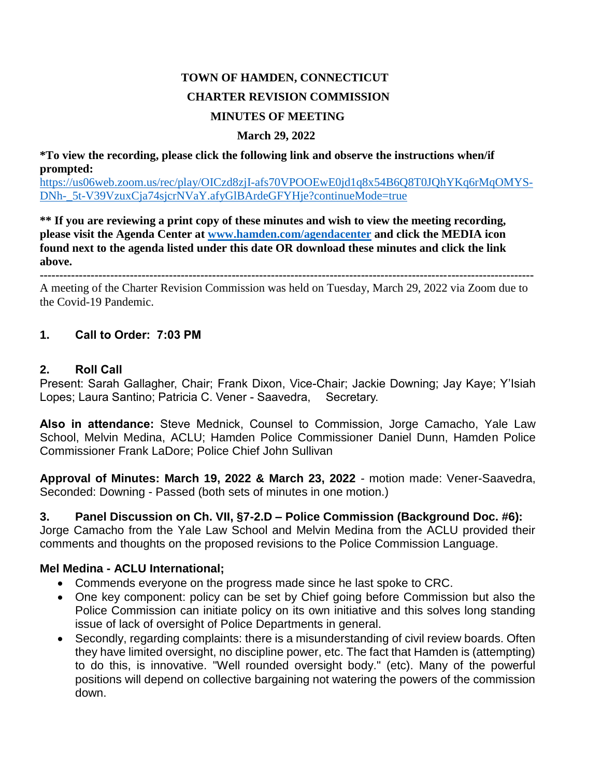# **TOWN OF HAMDEN, CONNECTICUT CHARTER REVISION COMMISSION MINUTES OF MEETING**

#### **March 29, 2022**

**\*To view the recording, please click the following link and observe the instructions when/if prompted:**

[https://us06web.zoom.us/rec/play/OICzd8zjI-afs70VPOOEwE0jd1q8x54B6Q8T0JQhYKq6rMqOMYS-](https://us06web.zoom.us/rec/play/OICzd8zjI-afs70VPOOEwE0jd1q8x54B6Q8T0JQhYKq6rMqOMYSDNh-_5t-V39VzuxCja74sjcrNVaY.afyGlBArdeGFYHje?continueMode=true)[DNh-\\_5t-V39VzuxCja74sjcrNVaY.afyGlBArdeGFYHje?continueMode=true](https://us06web.zoom.us/rec/play/OICzd8zjI-afs70VPOOEwE0jd1q8x54B6Q8T0JQhYKq6rMqOMYSDNh-_5t-V39VzuxCja74sjcrNVaY.afyGlBArdeGFYHje?continueMode=true)

**\*\* If you are reviewing a print copy of these minutes and wish to view the meeting recording, please visit the Agenda Center at [www.hamden.com/agendacenter](http://www.hamden.com/agendacenter) and click the MEDIA icon found next to the agenda listed under this date OR download these minutes and click the link above.**

**------------------------------------------------------------------------------------------------------------------------------** A meeting of the Charter Revision Commission was held on Tuesday, March 29, 2022 via Zoom due to the Covid-19 Pandemic.

#### **1. Call to Order: 7:03 PM**

#### **2. Roll Call**

Present: Sarah Gallagher, Chair; Frank Dixon, Vice-Chair; Jackie Downing; Jay Kaye; Y'Isiah Lopes; Laura Santino; Patricia C. Vener - Saavedra, Secretary.

**Also in attendance:** Steve Mednick, Counsel to Commission, Jorge Camacho, Yale Law School, Melvin Medina, ACLU; Hamden Police Commissioner Daniel Dunn, Hamden Police Commissioner Frank LaDore; Police Chief John Sullivan

**Approval of Minutes: March 19, 2022 & March 23, 2022** - motion made: Vener-Saavedra, Seconded: Downing - Passed (both sets of minutes in one motion.)

**3. Panel Discussion on Ch. VII, §7-2.D – Police Commission (Background Doc. #6):**

Jorge Camacho from the Yale Law School and Melvin Medina from the ACLU provided their comments and thoughts on the proposed revisions to the Police Commission Language.

#### **Mel Medina - ACLU International;**

- Commends everyone on the progress made since he last spoke to CRC.
- One key component: policy can be set by Chief going before Commission but also the Police Commission can initiate policy on its own initiative and this solves long standing issue of lack of oversight of Police Departments in general.
- Secondly, regarding complaints: there is a misunderstanding of civil review boards. Often they have limited oversight, no discipline power, etc. The fact that Hamden is (attempting) to do this, is innovative. "Well rounded oversight body." (etc). Many of the powerful positions will depend on collective bargaining not watering the powers of the commission down.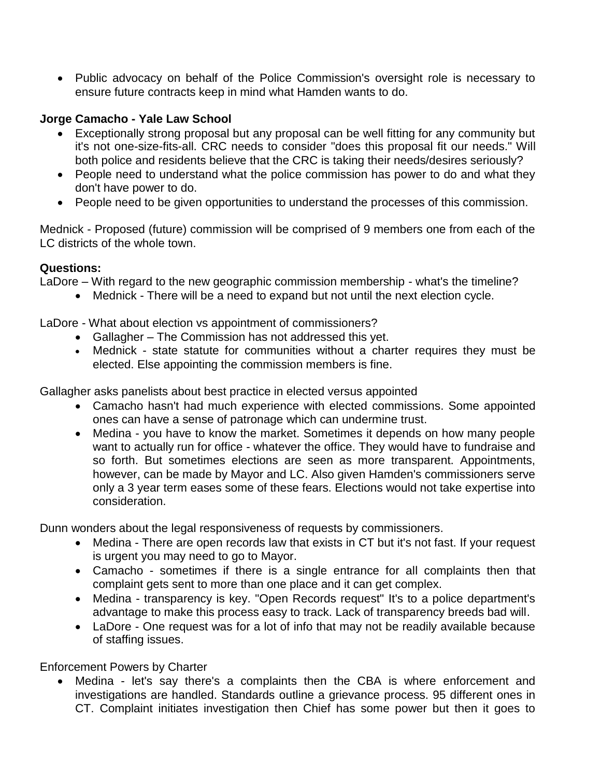• Public advocacy on behalf of the Police Commission's oversight role is necessary to ensure future contracts keep in mind what Hamden wants to do.

#### **Jorge Camacho - Yale Law School**

- Exceptionally strong proposal but any proposal can be well fitting for any community but it's not one-size-fits-all. CRC needs to consider "does this proposal fit our needs." Will both police and residents believe that the CRC is taking their needs/desires seriously?
- People need to understand what the police commission has power to do and what they don't have power to do.
- People need to be given opportunities to understand the processes of this commission.

Mednick - Proposed (future) commission will be comprised of 9 members one from each of the LC districts of the whole town.

#### **Questions:**

LaDore – With regard to the new geographic commission membership - what's the timeline?

Mednick - There will be a need to expand but not until the next election cycle.

LaDore - What about election vs appointment of commissioners?

- Gallagher The Commission has not addressed this yet.
- Mednick state statute for communities without a charter requires they must be elected. Else appointing the commission members is fine.

Gallagher asks panelists about best practice in elected versus appointed

- Camacho hasn't had much experience with elected commissions. Some appointed ones can have a sense of patronage which can undermine trust.
- Medina you have to know the market. Sometimes it depends on how many people want to actually run for office - whatever the office. They would have to fundraise and so forth. But sometimes elections are seen as more transparent. Appointments, however, can be made by Mayor and LC. Also given Hamden's commissioners serve only a 3 year term eases some of these fears. Elections would not take expertise into consideration.

Dunn wonders about the legal responsiveness of requests by commissioners.

- Medina There are open records law that exists in CT but it's not fast. If your request is urgent you may need to go to Mayor.
- Camacho sometimes if there is a single entrance for all complaints then that complaint gets sent to more than one place and it can get complex.
- Medina transparency is key. "Open Records request" It's to a police department's advantage to make this process easy to track. Lack of transparency breeds bad will.
- LaDore One request was for a lot of info that may not be readily available because of staffing issues.

Enforcement Powers by Charter

 Medina - let's say there's a complaints then the CBA is where enforcement and investigations are handled. Standards outline a grievance process. 95 different ones in CT. Complaint initiates investigation then Chief has some power but then it goes to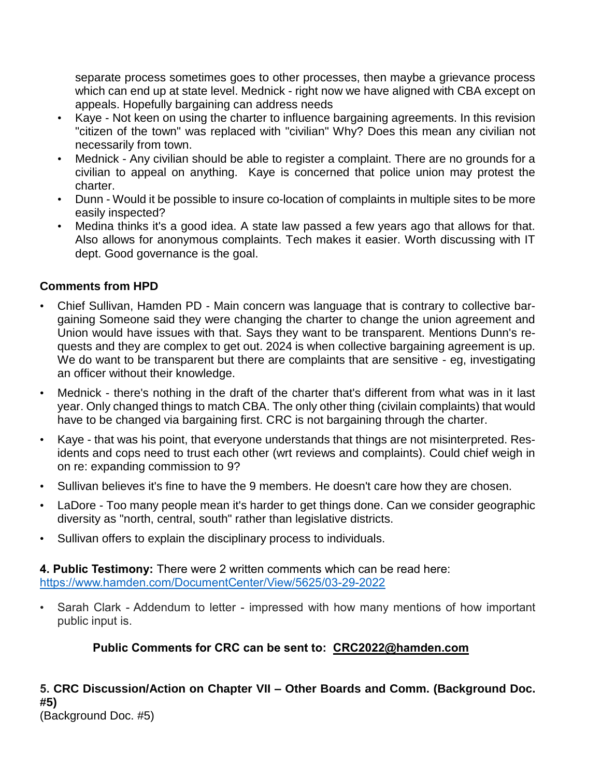separate process sometimes goes to other processes, then maybe a grievance process which can end up at state level. Mednick - right now we have aligned with CBA except on appeals. Hopefully bargaining can address needs

- Kave Not keen on using the charter to influence bargaining agreements. In this revision "citizen of the town" was replaced with "civilian" Why? Does this mean any civilian not necessarily from town.
- Mednick Any civilian should be able to register a complaint. There are no grounds for a civilian to appeal on anything. Kaye is concerned that police union may protest the charter.
- Dunn Would it be possible to insure co-location of complaints in multiple sites to be more easily inspected?
- Medina thinks it's a good idea. A state law passed a few years ago that allows for that. Also allows for anonymous complaints. Tech makes it easier. Worth discussing with IT dept. Good governance is the goal.

### **Comments from HPD**

- Chief Sullivan, Hamden PD Main concern was language that is contrary to collective bargaining Someone said they were changing the charter to change the union agreement and Union would have issues with that. Says they want to be transparent. Mentions Dunn's requests and they are complex to get out. 2024 is when collective bargaining agreement is up. We do want to be transparent but there are complaints that are sensitive - eg, investigating an officer without their knowledge.
- Mednick there's nothing in the draft of the charter that's different from what was in it last year. Only changed things to match CBA. The only other thing (civilain complaints) that would have to be changed via bargaining first. CRC is not bargaining through the charter.
- Kaye that was his point, that everyone understands that things are not misinterpreted. Residents and cops need to trust each other (wrt reviews and complaints). Could chief weigh in on re: expanding commission to 9?
- Sullivan believes it's fine to have the 9 members. He doesn't care how they are chosen.
- LaDore Too many people mean it's harder to get things done. Can we consider geographic diversity as "north, central, south" rather than legislative districts.
- Sullivan offers to explain the disciplinary process to individuals.

**4. Public Testimony:** There were 2 written comments which can be read here: <https://www.hamden.com/DocumentCenter/View/5625/03-29-2022>

• Sarah Clark - Addendum to letter - impressed with how many mentions of how important public input is.

## **Public Comments for CRC can be sent to: [CRC2022@hamden.com](mailto:CRC2022@hamden.com)**

## **5. CRC Discussion/Action on Chapter VII – Other Boards and Comm. (Background Doc. #5)**

(Background Doc. #5)